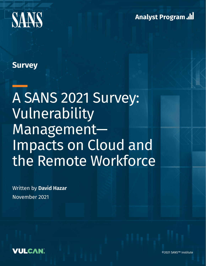



# **Survey**

# A SANS 2021 Survey: Vulnerability Management— Impacts on Cloud and the Remote Workforce

Written by **David Hazar** November 2021



©2021 SANS™ Institute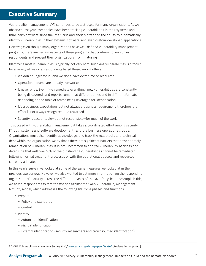## **Executive Summary**

Vulnerability management (VM) continues to be a struggle for many organizations. As we observed last year, companies have been tracking vulnerabilities in their systems and third-party software since the late 1990s and shortly after had the ability to automatically identify vulnerabilities in their systems, software, and even custom-developed applications.<sup>1</sup>

However, even though many organizations have well-defined vulnerability management programs, there are certain aspects of these programs that continue to vex survey respondents and prevent their organizations from maturing.

Identifying most vulnerabilities is typically not very hard, but fixing vulnerabilities is difficult for a variety of reasons. Respondents listed these, among others:

- We don't budget for it—and we don't have extra time or resources.
- Operational teams are already overworked.
- It never ends. Even if we remediate everything, new vulnerabilities are constantly being discovered, and reports come in at different times and in different formats, depending on the tools or teams being leveraged for identification.
- It's a business expectation, but not always a business requirement; therefore, the effort is not always recognized and rewarded.
- Security is accountable—but not responsible—for much of the work.

To succeed with vulnerability management, it takes a coordinated effort among security, IT (both systems and software development), and the business operations groups. Organizations must also identify, acknowledge, and track the roadblocks and technical debt within the organization. Many times there are significant barriers that prevent timely remediation of vulnerabilities. It is not uncommon to analyze vulnerability backlogs and determine that well over 50% of the outstanding vulnerabilities cannot be remediated following normal treatment processes or with the operational budgets and resources currently allocated.

In this year's survey, we looked at some of the same measures we looked at in the previous two surveys. However, we also wanted to get more information on the responding organizations' maturity across the different phases of the VM life-cycle. To accomplish this, we asked respondents to rate themselves against the SANS Vulnerability Management Maturity Model, which addresses the following life-cycle phases and functions:

- Prepare
	- Policy and standards
	- Context
- Identify
	- Automated identification
	- Manual identification
	- External identification (security researchers and crowdsourced identification)

1 "SANS Vulnerability Management Survey 2020," [www.sans.org/white-papers/39930/](http://www.sans.org/white-papers/39930/) [Registration required.]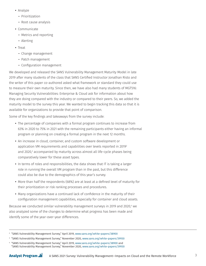- Analyze
	- Prioritization
	- Root cause analysis
- Communicate
	- Metrics and reporting
	- Alerting
- Treat
	- Change management
	- Patch management
	- Configuration management

We developed and released the SANS Vulnerability Management Maturity Model in late 2019 after many students of the class that SANS Certified Instructor Jonathan Risto and the writer of this paper co-authored asked what framework or standard they could use to measure their own maturity. Since then, we have also had many students of MGT516: Managing Security Vulnerabilities: Enterprise & Cloud ask for information about how they are doing compared with the industry or compared to their peers. So, we added the maturity model to the survey this year. We wanted to begin tracking this data so that it is available for organizations to provide that point of comparison.

Some of the key findings and takeaways from the survey include:

- The percentage of companies with a formal program continues to increase from 63% in 2020 to 75% in 2021 with the remaining participants either having an informal program or planning on creating a formal program in the next 12 months.
- An increase in cloud, container, and custom software development or application VM requirements and capabilities over levels reported in 20192 and 2020,<sup>3</sup> accompanied by maturity across almost all life-cycle phases being comparatively lower for these asset types.
- In terms of roles and responsibilities, the data shows that IT is taking a larger role in running the overall VM program than in the past, but this difference could also be due to the demographics of this year's survey.
- More than half the respondents (68%) are at least at a defined level of maturity for their prioritization or risk ranking processes and procedures.
- Many organizations have a continued lack of confidence in the maturity of their configuration management capabilities, especially for container and cloud assets.

Because we conducted similar vulnerability management surveys in 2019 and 2020,<sup>4</sup> we also analyzed some of the changes to determine what progress has been made and identify some of the year-over-year differences.

3 "SANS Vulnerability Management Survey," November 2020, [www.sans.org/white-papers/39930](http://www.sans.org/white-papers/39930)

 $^{\circ}$  "SANS Vulnerability Management Survey," April 2019, [www.sans.org/white-papers/38900](http://www.sans.org/white-papers/38900)

<sup>4</sup> "SANS Vulnerability Management Survey," April 2019, [www.sans.org/white-papers/38900](http://www.sans.org/white-papers/38900) and "SANS Vulnerability Management Survey," November 2020, [www.sans.org/white-papers/39930](http://www.sans.org/white-papers/39930)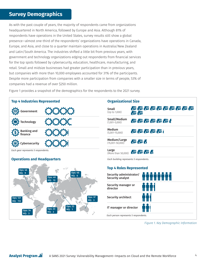# **Survey Demographics**

As with the past couple of years, the majority of respondents came from organizations headquartered in North America, followed by Europe and Asia. Although 81% of respondents have operations in the United States, survey results still show a global presence—almost one-third of the respondents' organizations have operations in Canada, Europe, and Asia, and close to a quarter maintain operations in Australia/New Zealand and Latin/South America. The industries shifted a little bit from previous years, with government and technology organizations edging out respondents from financial services for the top spots followed by cybersecurity, education, healthcare, manufacturing, and retail. Small and midsize businesses had greater participation than in previous years, but companies with more than 10,000 employees accounted for 31% of the participants. Despite more participation from companies with a smaller size in terms of people, 53% of companies had a revenue of over \$250 million.

**Organizational Size Top 4 Industries Represented** 电电电电电电电电电 Small Government (Up to 1,000) 麗麗 Small/Medium **把强感感动感 Technology** (1,001–5,000) Medium 把握是握手 Banking and (5,001–15,000) finance Medium/Large 把题相 (15,001–50,000) Cybersecurity Large *Each gear represents 5 respondents.* 和恶恶的 (More than 50,000) **Operations and Headquarters** *Each building represents 5 respondents.* **Top 4 Roles Represented** Ops: 46 Ops: 46<br>HO: 6 Security administrator/ ăšăñščăñ Ops: 49 Security analyst HQ: 13 Security manager or director Security architect Ops: 37 Ops: 121  $H\Omega$ : 3 HQ: 112 Ops: 23 IT manager or director Ops: 23 Ops: 34 HQ: 1 HQ: 2 HQ: 3 *Each person represents 5 respondents.*

Figure 1 provides a snapshot of the demographics for the respondents to the 2021 survey.

*Figure 1. Key Demographic Information*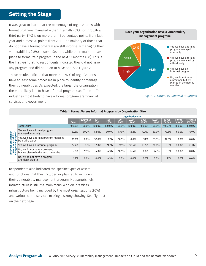# **Setting the Stage**

It was great to learn that the percentage of organizations with formal programs managed either internally (63%) or through a third party (11%) is up more than 11 percentage points from last year and almost 20 points from 2019. The majority of those that do not have a formal program are still informally managing their vulnerabilities (18%) in some fashion, while the remainder have plans to formalize a program in the next 12 months (7%). This is the first year that no respondents indicated they did not have any program and did not plan to have one. See Figure 2.

These results indicate that more than 92% of organizations have at least some processes in place to identify or manage their vulnerabilities. As expected, the larger the organization, the more likely it is to have a formal program (see Table 1). The industries most likely to have a formal program are financial services and government.



*Figure 2. Formal vs. Informal Programs*

| Table 1. Formal Versus Informal Programs by Organization Size         |                                                                        |                          |                          |                |                  |                    |                    |                     |                      |                      |                       |                      |
|-----------------------------------------------------------------------|------------------------------------------------------------------------|--------------------------|--------------------------|----------------|------------------|--------------------|--------------------|---------------------|----------------------|----------------------|-----------------------|----------------------|
|                                                                       |                                                                        | <b>Organization Size</b> |                          |                |                  |                    |                    |                     |                      |                      |                       |                      |
|                                                                       |                                                                        | <b>Total</b>             | <b>Fewer than</b><br>100 | $101 -$<br>500 | $501 -$<br>1,000 | $1,001 -$<br>2,000 | $2,001 -$<br>5,000 | $5,001 -$<br>10,000 | $10,001 -$<br>15,000 | $15,001 -$<br>50,000 | $50,001 -$<br>100,000 | More than<br>100,000 |
| Does your organization<br>have a vulnerability<br>management program? | <b>Total Count</b>                                                     | 100.0%                   | 100.0%                   | 100.0%         | 100.0%           | 100.0%             | 100.0%             | 100.0%              | 100.0%               | 100.0%               | 100.0%                | 100.0%               |
|                                                                       | Yes, we have a formal program<br>managed internally.                   | 62.3%                    | 69.2%                    | 52.0%          | 60.9%            | 57.9%              | 46.2%              | 72.7%               | 60.0%                | 78.6%                | 60.0%                 | 76.9%                |
|                                                                       | Yes, we have a formal program managed<br>by a third party.             | 11.3%                    | 0.0%                     | 32.0%          | 8.7%             | 10.5%              | 0.0%               | 9.1%                | 13.3%                | 14.3%                | 0.0%                  | $0.0\%$              |
|                                                                       | Yes, we have an informal program.                                      | 17.9%                    | 7.7%                     | 12.0%          | 21.7%            | 21.1%              | 38.5%              | 18.2%               | 20.0%                | 0.0%                 | 20.0%                 | 23.1%                |
|                                                                       | No, we do not have a program,<br>but we plan to in the next 12 months. | 7.3%                     | 23.1%                    | 4.0%           | 4.3%             | 10.5%              | 15.4%              | 0.0%                | 6.7%                 | 0.0%                 | 20.0%                 | $0.0\%$              |
|                                                                       | No, we do not have a program<br>and don't plan to.                     | 1.3%                     | 0.0%                     | 0.0%           | 4.3%             | 0.0%               | 0.0%               | 0.0%                | 0.0%                 | 7.1%                 | 0.0%                  | 0.0%                 |

Respondents also indicated the specific types of assets and functions that they included or planned to include in their vulnerability management program. Not surprisingly, infrastructure is still the main focus, with on-premises infrastructure being included by the most organizations (95%) and various cloud services making a strong showing. See Figure 3 on the next page.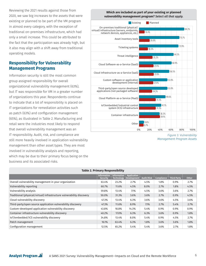Reviewing the 2021 results against those from 2020, we saw big increases to the assets that were existing or planned to be part of the VM program in almost every category, with the exception of traditional on-premises infrastructure, which had only a small increase. This could be attributed to the fact that the participation was already high, but it also may align with a shift away from traditional operating models.

#### **Responsibility for Vulnerability Management Programs**

Information security is still the most common group assigned responsibility for overall organizational vulnerability management (63%), but IT was responsible for VM in a greater number of organizations this year. Respondents continue to indicate that a lot of responsibility is placed on IT organizations for remediation activities such as patch (63%) and configuration management (65%), as illustrated in Table 2. Manufacturing and retail were the industries most likely to respond that overall vulnerability management was an IT responsibility. Audit, risk, and compliance are still more heavily involved in application vulnerability management than other asset types. They are most involved in vulnerability analysis and reporting, which may be due to their primary focus being on the business and its associated risks.

#### **Which are included as part of your existing or planned vulnerability management program?** *Select all that apply.*



*Figure 3. Vulnerability Management Program Assets*

| <b>Table 2. Primary Responsibility</b>                                |                                |                                         |                                          |            |            |                    |              |  |  |  |
|-----------------------------------------------------------------------|--------------------------------|-----------------------------------------|------------------------------------------|------------|------------|--------------------|--------------|--|--|--|
|                                                                       | Information<br><b>Security</b> | <b>Information</b><br><b>Technology</b> | <b>Application</b><br><b>Development</b> | Audit/Risk | Compliance | <b>Third Party</b> | <b>Other</b> |  |  |  |
| Overall vulnerability management in your organization                 | 63.4%                          | 23.2%                                   | 2.7%                                     | 4.5%       | 1.8%       | 0.9%               | 2.7%         |  |  |  |
| Vulnerability reporting                                               | 60.7%                          | 11.6%                                   | 4.5%                                     | 8.0%       | 2.7%       | 1.8%               | 4.5%         |  |  |  |
| Vulnerability analysis                                                | 59.8%                          | 13.4%                                   | 7.1%                                     | 4.5%       | 3.6%       | 3.6%               | 2.7%         |  |  |  |
| Traditional (physical/virtual) infrastructure vulnerability discovery | 50.0%                          | 31.3%                                   | 3.6%                                     | 3.6%       | 2.7%       | 0.9%               | 4.5%         |  |  |  |
| Cloud vulnerability discovery                                         | 47.3%                          | 13.4%                                   | 6.3%                                     | 3.6%       | 3.6%       | 4.5%               | 3.6%         |  |  |  |
| Third-party/open source application vulnerability discovery           | 47.3%                          | 11.6%                                   | 8.9%                                     | 7.1%       | 2.7%       | 5.4%               | 2.7%         |  |  |  |
| Custom-developed application vulnerability discovery                  | 43.8%                          | 18.8%                                   | 14.3%                                    | 5.4%       | 0.9%       | 0.9%               | 0.9%         |  |  |  |
| Container infrastructure vulnerability discovery                      | 40.2%                          | 17.0%                                   | 6.3%                                     | 6.3%       | 3.6%       | 0.9%               | 1.8%         |  |  |  |
| loT/embedded/ICS vulnerability discovery                              | 34.8%                          | 13.4%                                   | 8.0%                                     | 5.4%       | 0.9%       | 4.5%               | 2.7%         |  |  |  |
| Patch management                                                      | 16.1%                          | 63.4%                                   | 6.3%                                     | 1.8%       | 3.6%       | 3.6%               | 1.8%         |  |  |  |
| Configuration management                                              | 12.5%                          | 65.2%                                   | 5.4%                                     | 5.4%       | 3.6%       | 2.7%               | 1.8%         |  |  |  |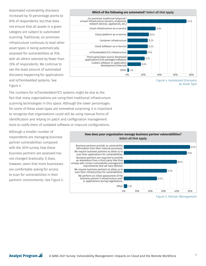Automated vulnerability discovery increased by 10 percentage points to 81% of respondents, but that does not ensure that all assets in a given category are subject to automated scanning. Traditional, on-premises infrastructure continues to lead other asset types in being automatically assessed for vulnerabilities at 74%, with all others selected by fewer than 35% of respondents. We continue to see the least amount of automated discovery happening for applications and IoT/embedded systems. See Figure 4.



*Figure 4. Automated Discovery by Asset Type*

The numbers for IoT/embedded/ICS systems might be due to the fact that many organizations are using their traditional infrastructure scanning technologies in this space. Although the lower percentages for some of these asset types are somewhat surprising, it is important to recognize that organizations could still be using manual forms of identification and relying on patch and configuration management tools to notify them of outdated software or insecure configurations.

Although a smaller number of respondents are managing business partner vulnerabilities compared with the 2019 survey, how these business partners are assessed has not changed drastically. It does, however, seem that more businesses are comfortable asking for access to scan for vulnerabilities in their partners' environments. See Figure 5.



*Figure 5. Partner Management*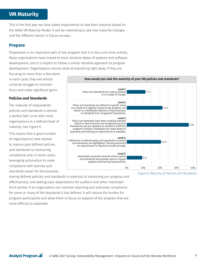# **VM Maturity**

This is the first year we have asked respondents to rate their maturity based on the SANS VM Maturity Model. It will be interesting to see how maturity changes and the different trends in future surveys.

#### **Prepare**

Preparation is an important part of any program and it is not a one-time activity. Many organizations have moved to more iterative styles of systems and software development, and it is helpful to follow a similar iterative approach to program development. Organizations cannot excel at everything right away. If they are

focusing on more than a few items in each cycle, they will almost certainly struggle to maintain focus and make significant gains.

#### **Policies and Standards**

The maturity of respondents' policies and standards is almost a perfect bell curve with most organizations at a defined level of maturity. See Figure 6.

This means that a good number of organizations have started to mature past defined policies and standards to measuring compliance and, in some cases, leveraging automation to make compliance with policies and standards easier for the business.



Having defined policies and standards is essential to measuring our progress and effectiveness, and setting clear expectations for auditors and other interested third parties. If an organization can improve reporting and automate compliance for some or many of the standards it has defined, it will reduce the burden for program participants and allow them to focus on aspects of the program that are more difficult to automate.

*Figure 6: Maturity of Policies and Standards*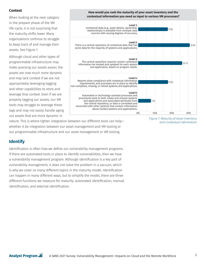#### **Context**

When looking at the next category in the prepare phase of the VM life-cycle, it is not surprising that the maturity shifts lower. Many organizations continue to struggle to keep track of and manage their assets. See Figure 7.

Although cloud and other types of programmable infrastructure may make querying our assets easier, the assets are now much more dynamic and may lack context if we are not appropriately leveraging tagging and other capabilities to store and leverage that context. Even if we are properly tagging our assets, our VM tools may struggle to leverage these tags and may not easily handle aging out assets that are more dynamic in



**How would you rank the maturity of your asset inventory and the** 

nature. This is where tighter integration between our different tools can help whether it be integration between our asset management and VM tooling or our programmable infrastructure and our asset management or VM tooling.

#### *Figure 7. Maturity of Asset Inventory and Contextual Information*

## **Identify**

Identification is often how we define our vulnerability management programs. If there are automated tools in place to identify vulnerabilities, then we have a vulnerability management program. Although identification is a key part of vulnerability management, it does not solve the problem in a vacuum, which is why we cover so many different topics in the maturity model. Identification can happen in many different ways, but to simplify the model, there are three different functions we measure for maturity: automated identification, manual identification, and external identification.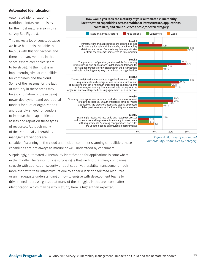#### **Automated Identification**

Automated identification of traditional infrastructure is by far the most mature area in this survey. See Figure 8.

This makes a lot of sense, because we have had tools available to help us with this for decades and there are many vendors in this space. Where companies seem to be struggling the most is in implementing similar capabilities for containers and the cloud. Some of the reasons for the lack of maturity in these areas may be a combination of these being newer deployment and operational models for a lot of organizations and possibly a need for vendors to improve their capabilities to assess and report on these types of resources. Although many of the traditional vulnerability management vendors are



capable of scanning in the cloud and include container scanning capabilities, these capabilities are not always as mature or well-understood by consumers.

Surprisingly, automated vulnerability identification for applications is somewhere in the middle. The reason this is surprising is that we find that many companies struggle with application security or application vulnerability management much more than with their infrastructure due to either a lack of dedicated resources or an inadequate understanding of how to engage with development teams to drive remediation. We guess that many of the struggles in this area come after identification, which may be why maturity here is higher than expected.

*Figure 8. Maturity of Automated Vulnerability Capabilities by Category*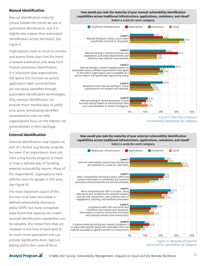#### **Manual Identification**

Manual identification maturity closely follows the trends we see in automated identification, but it is slightly less mature than automated identification across the board. See Figure 9.

Organizations have so much to monitor and assess these days that the trend is toward automation and away from manual processes. Nevertheless, it is important that organizations not ignore this function as certain application-layer vulnerabilities are not easily identified through automated identification technologies. Also, manual identification can provide much-needed data to justify time spent remediating identified vulnerabilities and can help organizations focus on the highest risk vulnerabilities in their backlogs.

#### **External Identification**

External identification may happen as part of a formal bug bounty program, but even if an organization does not have a bug bounty program, it needs to have a defined way of handling external vulnerability reports. Many of the respondents' organizations have definite room for growth in this area. See Figure 10.

The most important aspect of this function is to have and follow a defined vulnerability disclosure policy (VDP), but many companies have found that tapping into crowdsourced identification capabilities can be valuable. The researchers that are involved in this kind of work tend to be much more specialized and can provide significantly more rigorous testing within their area of focus.

**Analyst Program ...** 





*Figure 9. Maturity of Manual Vulnerability Capabilities by Category*

#### **How would you rank the maturity of your external vulnerability identification capabilities across traditional infrastructure, applications, containers, and cloud?**  *Select a scale for each category.*



*Figure 10. Maturity of External Vulnerability Capabilities by Category*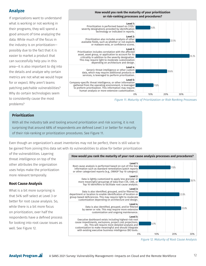## **Analyze**

If organizations want to understand what is working or not working in their programs, they will spend a good amount of time analyzing the data. While much of the focus in the industry is on prioritization possibly due to the fact that it is easier to market a product that can successfully help you in this area—it is also important to dig into the details and analyze why certain metrics are not what we would hope for or expect. Why aren't teams patching patchable vulnerabilities? Why do certain technologies seem to consistently cause the most problems?



*Figure 11. Maturity of Prioritization or Risk Ranking Processes*

#### **Prioritization**

With all the industry talk and tooling around prioritization and risk scoring, it is not surprising that around 68% of respondents are defined Level 3 or better for maturity of their risk-ranking or prioritization procedures. See Figure 11.

Even though an organization's asset inventories may not be perfect, there is still value to be gained from joining this data set with its vulnerabilities to allow for better prioritization

of the vulnerabilities. Layering threat intelligence on top of the other attributes the organization uses helps make the prioritization more relevant temporally.

#### **Root Cause Analysis**

What is a bit more surprising is that 54% self-select at Level 3 or better for root cause analysis. So, while there is a bit more focus on prioritization, over half the respondents have a defined process for looking into root cause issues as well. See Figure 12.



*Figure 12. Maturity of Root Cause Analysis*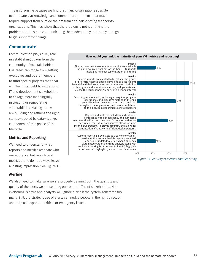This is surprising because we find that many organizations struggle to adequately acknowledge and communicate problems that may require support from outside the program and participating technology organizations. This may show that the problem is not identifying the problems, but instead communicating them adequately or broadly enough to get support for change.

### **Communicate**

Communication plays a key role in establishing buy-in from the community of VM stakeholders. Use cases can range from getting executives and board members to fund special projects that deal with technical debt to influencing IT and development stakeholders to engage more meaningfully in treating or remediating vulnerabilities. Making sure we are building and refining the right stories—backed by data—is a key component of this phase of the life cycle.

#### **Metrics and Reporting**

We need to understand what reports and metrics resonate with our audience, but reports and metrics alone do not always leave a lasting impression. See Figure 13.

#### **Alerting**

We also need to make sure we are properly defining both the quantity and quality of the alerts we are sending out to our different stakeholders. Not everything is a fire and analysts will ignore alerts if the system generates too many. Still, the strategic use of alerts can nudge people in the right direction and help us respond to critical or emergency issues.



*Figure 13. Maturity of Metrics and Reporting*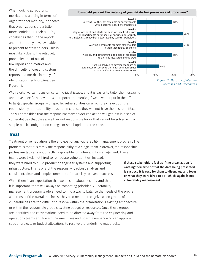When looking at reporting, metrics, and alerting in terms of organizational maturity, it appears that organizations are a little more confident in their alerting capabilities than in the reports and metrics they have available to present to stakeholders. This is most likely due to the relatively poor selection of out-of-thebox reports and metrics and the difficulty of creating custom reports and metrics in many of the identification technologies. See Figure 14.

#### **How would you rank the maturity of your VM alerting processes and procedures?**



*Figure 14. Maturity of Alerting Processes and Procedures*

With alerts, we can focus on certain critical issues, and it is easier to tailor the messaging and drive specific behaviors. With reports and metrics, if we have not put in the effort to target specific groups with specific vulnerabilities on which they have both the responsibility and capability to act, then chances they will not have the desired effect. The vulnerabilities that the responsible stakeholder can act on will get lost in a sea of vulnerabilities that they are either not responsible for or that cannot be solved with a simple patch, configuration change, or small update to the code.

#### **Treat**

Treatment or remediation is the end goal of any vulnerability management program. The problem is that it is rarely the responsibility of a single team. Moreover, the responsible parties are typically not directly responsible for vulnerability management. These teams were likely not hired to remediate vulnerabilities. Instead, they were hired to build product or engineer systems and supporting infrastructure. This is one of the reasons why robust analysis and consistent, clear, and simple communication are key to overall success.

While there is an expectation that we all care about security and that it is important, there will always be competing priorities. Vulnerability management program leaders need to find a way to balance the needs of the program with those of the overall business. They also need to recognize when groups of vulnerabilities are too difficult to resolve within the organization's existing architecture or within the responsible group's existing budget or resources. Once these groups are identified, the conversations need to be directed away from the engineering and operations teams and toward the executives and board members who can approve special projects or budget allocations to resolve the underlying roadblocks.

If these stakeholders feel as if the organization is wasting their time or that the data being presented is suspect, it is easy for them to disengage and focus on what they were hired to do—which, again, is not vulnerability management.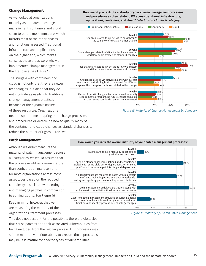#### **Change Management**

As we looked at organizations' maturity as it relates to change management, containers and cloud seem to be the most immature, which mirrors most of the other phases and functions assessed. Traditional infrastructure and applications rate on the higher end, which makes sense as these areas were why we implemented change management in the first place. See Figure 15.

The struggle with containers and cloud is not only that they are newer technologies, but also that they do not integrate as easily into traditional change management practices because of the dynamic nature of these resources. Organizations need to spend time adapting their change processes and procedures or determine how to qualify many of the container and cloud changes as standard changes to

reduce the number of rigorous reviews.

#### **Patch Management**

Although we didn't measure the maturity of patch management across all categories, we would assume that the process would rank more mature than configuration management for most organizations across most asset types based on the reduced complexity associated with setting up and managing patches in comparison to configurations. See Figure 16.

Keep in mind, however, that we are measuring the maturity of the organizations' treatment processes.











*Figure 16. Maturity of Overall Patch Management*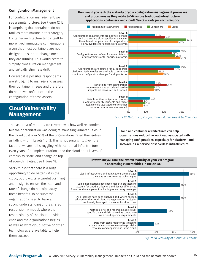#### **Configuration Management**

For configuration management, we see a similar picture. See Figure 17. It is surprising that containers do not rank as more mature in this category. Container architecture lends itself to more fixed, immutable configurations given that most containers are not designed to support change once they are running. This would seem to simplify configuration management and virtually eliminate drift.

However, it is possible respondents are struggling to manage and assess their container images and therefore do not have confidence in the configuration of these assets.

# **Cloud Vulnerability Management**

**Level 1:** Configuration requirements are not well-defined and changes are either applied manually or the automatic application of configurations is only available for a subset of platforms. **Level 2:** Configurations are defined for some divisions or departments or for specific platforms. **Level 3:** Configurations are defined for all supported platforms. Technologies are available to automate or validate configuration changes for all platforms. **Level 4:** Deviations from configuration requirements and associated service impacts are measured and tracked. 29.0% 24.5% 26.3% 29.2% 29.0% 25.5% 16.8% 19.8% 15.0% 21.4% 14.7% 14.6% 15.0% 20.4% 32.6% 28.1% **Traditional infrastructure Applications** Containers Cloud

**How would you rank the maturity of your configuration management processes and procedures as they relate to VM across traditional infrastructure, applications, containers, and cloud?** *Select a scale for each category.*

#### **Level 5:** Data from the configuration process along with security incidents and threat intelligence is leveraged to strengthen or relax requirements as needed. 0% 10% 20% 30%

*Figure 17. Maturity of Configuration Management by Category*

12.0%

8.2% 9.5% 8.3%

The last area of maturity we covered was how well respondents felt their organization was doing at managing vulnerabilities in the cloud. Just over 50% of the organizations rated themselves as falling within Levels 1 or 2. This is not surprising, given the fact that we are still struggling with traditional infrastructure even years after implementation—and the cloud adds layers of

Cloud and container architectures can help organizations reduce the workload associated with managing configurations, especially for platform- and software-as-a-service or serverless infrastructure.

complexity, scale, and change on top of everything else. See Figure 18.

SANS thinks that there is a huge opportunity to do better VM in the cloud, but it will take careful planning and design to ensure the scale and rate of change do not wipe away these benefits. To be successful, organizations need to have a strong understanding of the shared responsibility model, where the responsibility of the cloud provider ends and the organizations begins, as well as what cloud-native or other technologies are available to help them succeed.



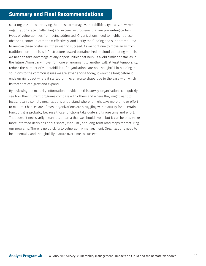# **Summary and Final Recommendations**

Most organizations are trying their best to manage vulnerabilities. Typically, however, organizations face challenging and expensive problems that are preventing certain types of vulnerabilities from being addressed. Organizations need to highlight these obstacles, communicate them effectively, and justify the funding and support required to remove these obstacles if they wish to succeed. As we continue to move away from traditional on-premises infrastructure toward containerized or cloud operating models, we need to take advantage of any opportunities that help us avoid similar obstacles in the future. Almost any move from one environment to another will, at least temporarily, reduce the number of vulnerabilities. If organizations are not thoughtful in building in solutions to the common issues we are experiencing today, it won't be long before it ends up right back where it started or in even worse shape due to the ease with which its footprint can grow and expand.

By reviewing the maturity information provided in this survey, organizations can quickly see how their current programs compare with others and where they might want to focus. It can also help organizations understand where it might take more time or effort to mature. Chances are, if most organizations are struggling with maturity for a certain function, it is probably because those functions take quite a bit more time and effort. That doesn't necessarily mean it is an area that we should avoid, but it can help us make more informed decisions about short-, medium-, and long-term road maps for maturing our programs. There is no quick fix to vulnerability management. Organizations need to incrementally and thoughtfully mature over time to succeed.